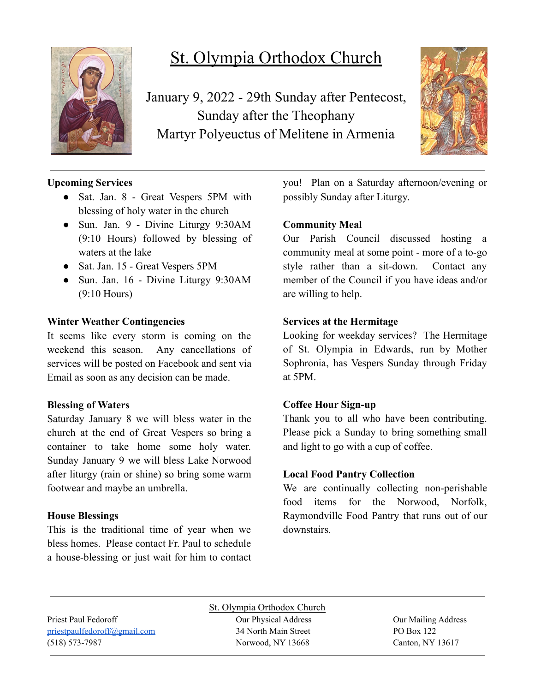

# St. Olympia Orthodox Church

January 9, 2022 - 29th Sunday after Pentecost, Sunday after the Theophany Martyr Polyeuctus of Melitene in Armenia



## **Upcoming Services**

- Sat. Jan. 8 Great Vespers 5PM with blessing of holy water in the church
- Sun. Jan. 9 Divine Liturgy 9:30AM (9:10 Hours) followed by blessing of waters at the lake
- Sat. Jan. 15 Great Vespers 5PM
- Sun. Jan. 16 Divine Liturgy 9:30AM (9:10 Hours)

## **Winter Weather Contingencies**

It seems like every storm is coming on the weekend this season. Any cancellations of services will be posted on Facebook and sent via Email as soon as any decision can be made.

#### **Blessing of Waters**

Saturday January 8 we will bless water in the church at the end of Great Vespers so bring a container to take home some holy water. Sunday January 9 we will bless Lake Norwood after liturgy (rain or shine) so bring some warm footwear and maybe an umbrella.

#### **House Blessings**

This is the traditional time of year when we bless homes. Please contact Fr. Paul to schedule a house-blessing or just wait for him to contact you! Plan on a Saturday afternoon/evening or possibly Sunday after Liturgy.

## **Community Meal**

Our Parish Council discussed hosting a community meal at some point - more of a to-go style rather than a sit-down. Contact any member of the Council if you have ideas and/or are willing to help.

## **Services at the Hermitage**

Looking for weekday services? The Hermitage of St. Olympia in Edwards, run by Mother Sophronia, has Vespers Sunday through Friday at 5PM.

#### **Coffee Hour Sign-up**

Thank you to all who have been contributing. Please pick a Sunday to bring something small and light to go with a cup of coffee.

#### **Local Food Pantry Collection**

We are continually collecting non-perishable food items for the Norwood, Norfolk, Raymondville Food Pantry that runs out of our downstairs.

St. Olympia Orthodox Church Priest Paul Fedoroff **Our Physical Address** Our Physical Address **Our Mailing Address** [priestpaulfedoroff@gmail.com](mailto:priestpaulfedoroff@gmail.com) 34 North Main Street PO Box 122 (518) 573-7987 Norwood, NY 13668 Canton, NY 13617